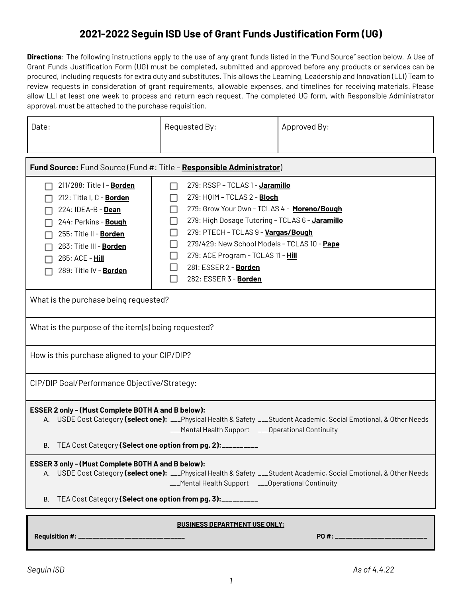# **2021-2022 Seguin ISD Use of Grant Funds Justification Form (UG)**

**Directions**: The following instructions apply to the use of any grant funds listed in the "Fund Source" section below. A Use of Grant Funds Justification Form (UG) must be completed, submitted and approved before any products or services can be procured, including requests for extra duty and substitutes. This allows the Learning, Leadership and Innovation (LLI) Team to review requests in consideration of grant requirements, allowable expenses, and timelines for receiving materials. Please allow LLI at least one week to process and return each request. The completed UG form, with Responsible Administrator approval, must be attached to the purchase requisition.

| Date:                                                                                                                                                                                                                                                                                                      | Requested By:                                                                                                                                                                                                                                                                                                                                                                                | Approved By:                      |  |  |
|------------------------------------------------------------------------------------------------------------------------------------------------------------------------------------------------------------------------------------------------------------------------------------------------------------|----------------------------------------------------------------------------------------------------------------------------------------------------------------------------------------------------------------------------------------------------------------------------------------------------------------------------------------------------------------------------------------------|-----------------------------------|--|--|
| Fund Source: Fund Source (Fund #: Title - Responsible Administrator)                                                                                                                                                                                                                                       |                                                                                                                                                                                                                                                                                                                                                                                              |                                   |  |  |
| 211/288: Title I - Borden<br>212: Title I, C - Borden<br>224: IDEA-B - Dean<br>244: Perkins - Bough<br>255: Title II - Borden<br>263: Title III - Borden<br>265: ACE - <b>Hill</b><br>289: Title IV - Borden                                                                                               | 279: RSSP - TCLAS 1 - Jaramillo<br>279: HOIM - TCLAS 2 - Bloch<br>H<br>279: Grow Your Own - TCLAS 4 - Moreno/Bough<br>$\Box$<br>279: High Dosage Tutoring - TCLAS 6 - Jaramillo<br>H<br>279: PTECH - TCLAS 9 - Vargas/Bough<br>$\Box$<br>279/429: New School Models - TCLAS 10 - Pape<br>279: ACE Program - TCLAS 11 - Hill<br>H<br>281: ESSER 2 - Borden<br>$\Box$<br>282: ESSER 3 - Borden |                                   |  |  |
| What is the purchase being requested?                                                                                                                                                                                                                                                                      |                                                                                                                                                                                                                                                                                                                                                                                              |                                   |  |  |
| What is the purpose of the item(s) being requested?                                                                                                                                                                                                                                                        |                                                                                                                                                                                                                                                                                                                                                                                              |                                   |  |  |
| How is this purchase aligned to your CIP/DIP?                                                                                                                                                                                                                                                              |                                                                                                                                                                                                                                                                                                                                                                                              |                                   |  |  |
| CIP/DIP Goal/Performance Objective/Strategy:                                                                                                                                                                                                                                                               |                                                                                                                                                                                                                                                                                                                                                                                              |                                   |  |  |
| <b>ESSER 2 only - (Must Complete BOTH A and B below):</b><br>A. USDE Cost Category (select one): __Physical Health & Safety ___Student Academic, Social Emotional, & Other Needs<br>___Mental Health Support ___Operational Continuity                                                                     |                                                                                                                                                                                                                                                                                                                                                                                              |                                   |  |  |
| TEA Cost Category (Select one option from pg. 2):__________<br>В.                                                                                                                                                                                                                                          |                                                                                                                                                                                                                                                                                                                                                                                              |                                   |  |  |
| <b>ESSER 3 only - (Must Complete BOTH A and B below):</b><br>A. USDE Cost Category (select one): __Physical Health & Safety ___Student Academic, Social Emotional, & Other Needs<br>__Mental Health Support ___Operational Continuity<br>TEA Cost Category (Select one option from pg. 3):__________<br>В. |                                                                                                                                                                                                                                                                                                                                                                                              |                                   |  |  |
|                                                                                                                                                                                                                                                                                                            |                                                                                                                                                                                                                                                                                                                                                                                              |                                   |  |  |
| Requisition #: _________________________________                                                                                                                                                                                                                                                           | <b>BUSINESS DEPARTMENT USE ONLY:</b>                                                                                                                                                                                                                                                                                                                                                         | P0 #: ___________________________ |  |  |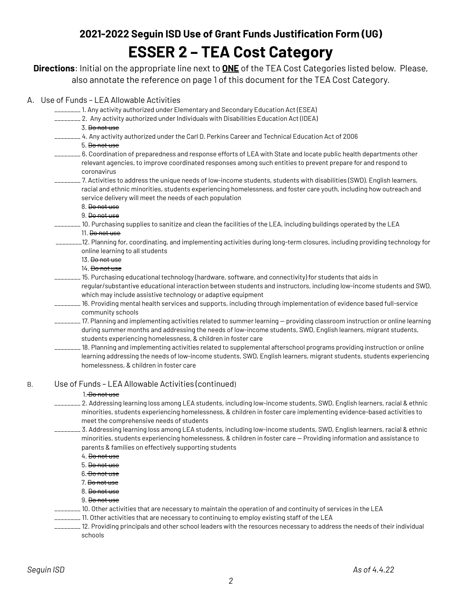# **2021-2022 Seguin ISD Use of Grant Funds Justification Form (UG) ESSER 2 – TEA Cost Category**

**Directions**: Initial on the appropriate line next to **ONE** of the TEA Cost Categories listed below. Please, also annotate the reference on page 1 of this document for the TEA Cost Category.

#### A. Use

| e of Funds – LEA Allowable Activities                                                                                                                                                                                                                                                                    |
|----------------------------------------------------------------------------------------------------------------------------------------------------------------------------------------------------------------------------------------------------------------------------------------------------------|
| ________ 1. Any activity authorized under Elementary and Secondary Education Act (ESEA)                                                                                                                                                                                                                  |
| ________ 2. Any activity authorized under Individuals with Disabilities Education Act (IDEA)                                                                                                                                                                                                             |
| 3. <del>Do not use</del>                                                                                                                                                                                                                                                                                 |
| 4. Any activity authorized under the Carl D. Perkins Career and Technical Education Act of 2006.                                                                                                                                                                                                         |
| 5. <del>Do not use</del>                                                                                                                                                                                                                                                                                 |
| _______ 6. Coordination of preparedness and response efforts of LEA with State and locate public health departments other                                                                                                                                                                                |
| relevant agencies, to improve coordinated responses among such entities to prevent prepare for and respond to<br>coronavirus                                                                                                                                                                             |
| .7. Activities to address the unique needs of low-income students, students with disabilities (SWD). English learners,<br>racial and ethnic minorities, students experiencing homelessness, and foster care youth, including how outreach and<br>service delivery will meet the needs of each population |
| 8. <del>Do not use</del>                                                                                                                                                                                                                                                                                 |
| 9. Do not use                                                                                                                                                                                                                                                                                            |
| . 10. Purchasing supplies to sanitize and clean the facilities of the LEA, including buildings operated by the LEA                                                                                                                                                                                       |
| 11. <del>Do not use</del>                                                                                                                                                                                                                                                                                |
| .12. Planning for, coordinating, and implementing activities during long-term closures, including providing technology for                                                                                                                                                                               |
| online learning to all students                                                                                                                                                                                                                                                                          |
| 13. <del>Do not use</del>                                                                                                                                                                                                                                                                                |
| 14. <del>Do not use</del>                                                                                                                                                                                                                                                                                |
| 15. Purchasing educational technology (hardware, software, and connectivity) for students that aids in                                                                                                                                                                                                   |
| regular/substantive educational interaction between students and instructors, including low-income students and SWD,                                                                                                                                                                                     |
| which may include assistive technology or adaptive equipment                                                                                                                                                                                                                                             |
| . 16. Providing mental health services and supports, including through implementation of evidence based full-service                                                                                                                                                                                     |
| community schools                                                                                                                                                                                                                                                                                        |
| ______ 17. Planning and implementing activities related to summer learning — providing classroom instruction or online learning                                                                                                                                                                          |
| during summer months and addressing the needs of low-income students, SWD, English learners, migrant students,                                                                                                                                                                                           |
| students experiencing homelessness, & children in foster care                                                                                                                                                                                                                                            |
| 18. Planning and implementing activities related to supplemental afterschool programs providing instruction or online                                                                                                                                                                                    |
| learning addressing the needs of low-income students, SWD, English learners, migrant students, students experiencing                                                                                                                                                                                     |

B. Use of Funds – LEA Allowable Activities (continued)

homelessness, & children in foster care

#### 1. Do not use

- \_\_\_\_\_\_\_\_ 2. Addressing learning loss among LEA students, including low-income students, SWD, English learners, racial & ethnic minorities, students experiencing homelessness, & children in foster care implementing evidence-based activities to meet the comprehensive needs of students
- \_\_\_\_\_\_\_\_ 3. Addressing learning loss among LEA students, including low-income students, SWD, English learners, racial & ethnic minorities, students experiencing homelessness, & children in foster care — Providing information and assistance to parents & families on effectively supporting students
	- 4. Do not use
	- 5. Do not use
	- 6. Do not use
	- 7. Do not use
	- 8. Do not use
	- 9. Do not use
- $\_$  10. Other activities that are necessary to maintain the operation of and continuity of services in the LEA
- \_\_\_\_\_\_\_\_ 11. Other activities that are necessary to continuing to employ existing staff of the LEA
- \_\_\_\_\_\_\_\_ 12. Providing principals and other school leaders with the resources necessary to address the needs of their individual schools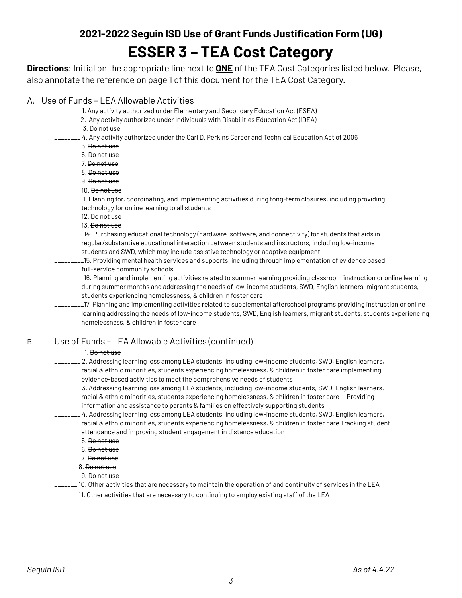# **2021-2022 Seguin ISD Use of Grant Funds Justification Form (UG) ESSER 3 – TEA Cost Category**

**Directions**: Initial on the appropriate line next to **ONE** of the TEA Cost Categories listed below. Please, also annotate the reference on page 1 of this document for the TEA Cost Category.

|    | A. Use of Funds – LEA Allowable Activities                                                                                   |
|----|------------------------------------------------------------------------------------------------------------------------------|
|    | ________ 1. Any activity authorized under Elementary and Secondary Education Act (ESEA)                                      |
|    | ________2. Any activity authorized under Individuals with Disabilities Education Act (IDEA)                                  |
|    | 3. Do not use                                                                                                                |
|    | ________ 4. Any activity authorized under the Carl D. Perkins Career and Technical Education Act of 2006                     |
|    | 5. Do not use                                                                                                                |
|    | 6. <del>Do not use</del>                                                                                                     |
|    | 7. <del>Do not use</del>                                                                                                     |
|    | 8. Do not use                                                                                                                |
|    | 9. <del>Do not use</del>                                                                                                     |
|    | 10. <del>Do not use</del>                                                                                                    |
|    | ______11. Planning for, coordinating, and implementing activities during tong-term closures, including providing             |
|    | technology for online learning to all students                                                                               |
|    | 12. Do not use                                                                                                               |
|    | 13. <del>Do not use</del>                                                                                                    |
|    | 14. Purchasing educational technology (hardware. software, and connectivity) for students that aids in                       |
|    | regular/substantive educational interaction between students and instructors, including low-income                           |
|    | students and SWD, which may include assistive technology or adaptive equipment                                               |
|    | ______15. Providing mental health services and supports, including through implementation of evidence based                  |
|    | full-service community schools                                                                                               |
|    | ______16. Planning and implementing activities related to summer learning providing classroom instruction or online learning |
|    | during summer months and addressing the needs of low-income students, SWD, English learners, migrant students,               |
|    | students experiencing homelessness, & children in foster care                                                                |
|    | 17. Planning and implementing activities related to supplemental afterschool programs providing instruction or online        |
|    | learning addressing the needs of low-income students, SWD, English learners, migrant students, students experiencing         |
|    | homelessness, & children in foster care                                                                                      |
| Β. | Use of Funds - LEA Allowable Activities (continued)                                                                          |
|    | 1. <del>Do not use</del>                                                                                                     |
|    | 2. Addressing learning loss among LEA students, including low-income students, SWD, English learners.                        |
|    | racial & ethnic minorities, students experiencing homelessness, & children in foster care implementing                       |
|    | evidence-based activities to meet the comprehensive needs of students                                                        |
|    | _ 3. Addressing learning loss among LEA students, including low-income students, SWD, English learners,                      |
|    | racial & ethnic minorities, students experiencing homelessness, & children in foster care - Providing                        |
|    | information and assistance to parents & families on effectively supporting students                                          |
|    | ________ 4. Addressing learning loss among LEA students, including low-income students, SWD, English learners,               |
|    | racial & ethnic minorities, students experiencing homelessness, & children in foster care Tracking student                   |
|    | attendance and improving student engagement in distance education                                                            |
|    | 5. De not use                                                                                                                |
|    | 6. <del>Do not use</del>                                                                                                     |
|    | 7. <del>Do not use</del>                                                                                                     |
|    | 8. <del>Do not use</del>                                                                                                     |

- 9. Do not use
- \_\_\_\_\_\_\_ 10. Other activities that are necessary to maintain the operation of and continuity of services in the LEA
- \_\_\_\_\_\_\_ 11. Other activities that are necessary to continuing to employ existing staff of the LEA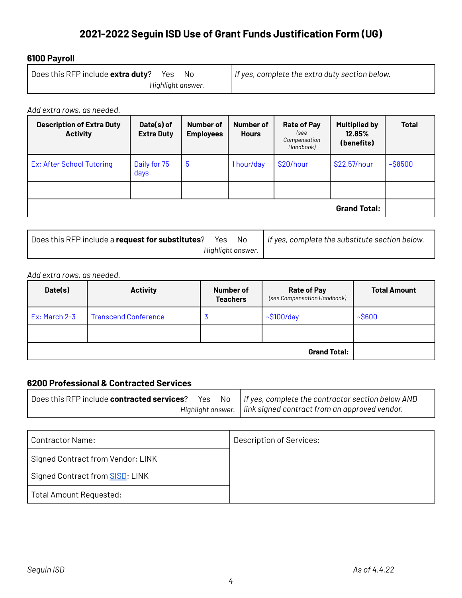# **2021-2022 Seguin ISD Use of Grant Funds Justification Form (UG)**

## **6100 Payroll**

| Does this RFP include <b>extra duty</b> ?<br>No.<br>Yes | If yes, complete the extra duty section below. |
|---------------------------------------------------------|------------------------------------------------|
| Highlight answer.                                       |                                                |

#### *Add extra rows, as needed.*

| <b>Description of Extra Duty</b><br><b>Activity</b> | Date(s) of<br><b>Extra Duty</b> | <b>Number of</b><br><b>Employees</b> | <b>Number of</b><br><b>Hours</b> | <b>Rate of Pay</b><br>(see<br>Compensation<br>Handbook) | <b>Multiplied by</b><br>12.85%<br>(benefits) | <b>Total</b> |
|-----------------------------------------------------|---------------------------------|--------------------------------------|----------------------------------|---------------------------------------------------------|----------------------------------------------|--------------|
| Ex: After School Tutoring                           | Daily for 75<br>days            | 5                                    | 1hour/day                        | \$20/hour                                               | \$22.57/hour                                 | $-$ \$8500   |
|                                                     |                                 |                                      |                                  |                                                         |                                              |              |
|                                                     |                                 |                                      |                                  |                                                         | <b>Grand Total:</b>                          |              |

| Does this RFP include a request for substitutes? | Yes No |  | If yes, complete the substitute section below. |
|--------------------------------------------------|--------|--|------------------------------------------------|
| Highlight answer.                                |        |  |                                                |

#### *Add extra rows, as needed.*

| Date(s)       | <b>Activity</b>             | Number of<br><b>Teachers</b> | <b>Rate of Pay</b><br>(see Compensation Handbook) | <b>Total Amount</b> |
|---------------|-----------------------------|------------------------------|---------------------------------------------------|---------------------|
| Ex: March 2-3 | <b>Transcend Conference</b> |                              | $~5100$ /day                                      | ~5600               |
|               |                             |                              |                                                   |                     |
|               |                             |                              | <b>Grand Total:</b>                               |                     |

### **6200 Professional & Contracted Services**

|  |  |                                                                   | $\vert$ Does this RFP include contracted services? Yes No $\vert$ If yes, complete the contractor section below AND |
|--|--|-------------------------------------------------------------------|---------------------------------------------------------------------------------------------------------------------|
|  |  | Highlight answer.   link signed contract from an approved vendor. |                                                                                                                     |

| Contractor Name:                  | Description of Services: |
|-----------------------------------|--------------------------|
| Signed Contract from Vendor: LINK |                          |
| Signed Contract from SISD: LINK   |                          |
| Total Amount Requested:           |                          |